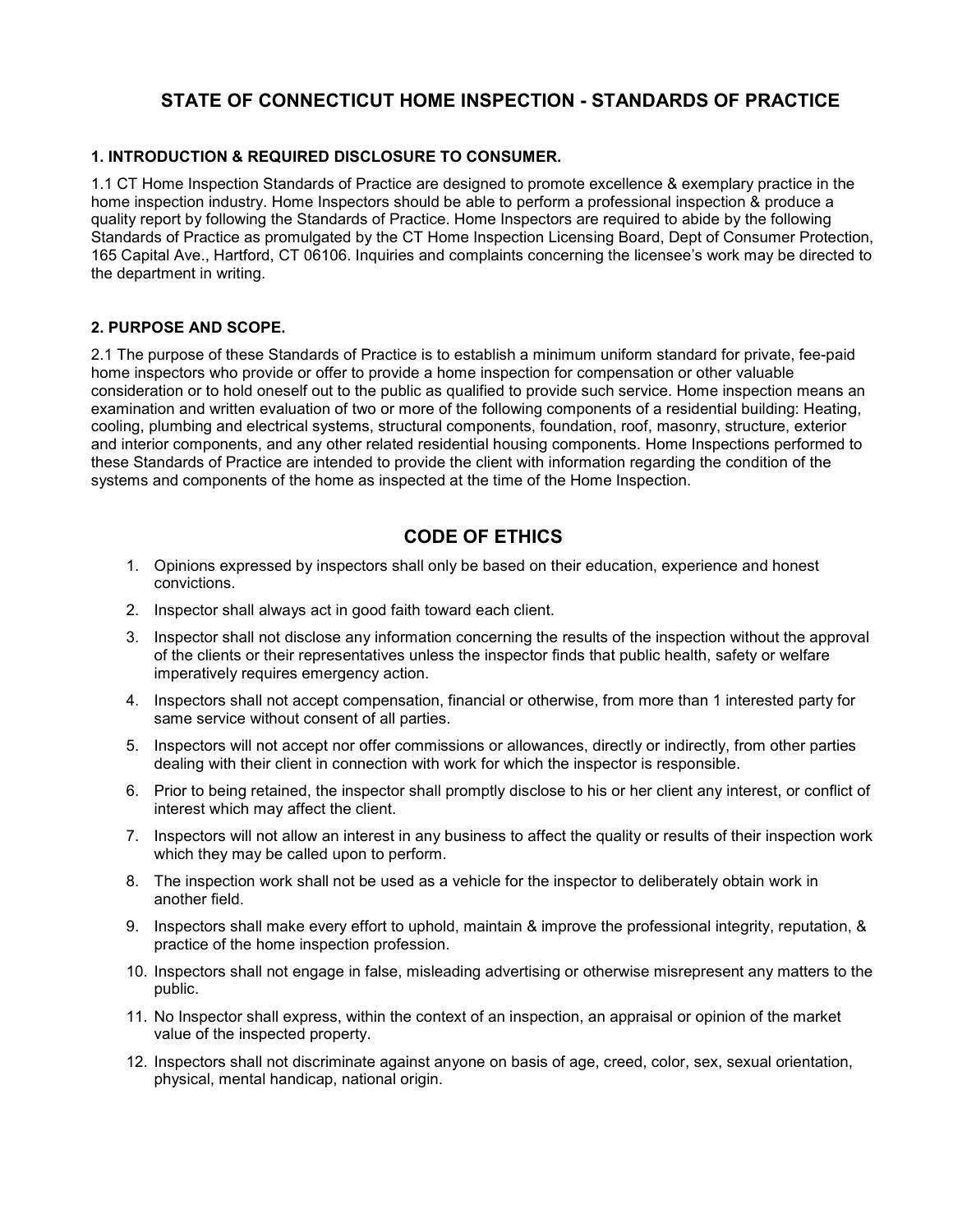# **STATE OF CONNECTICUT HOME INSPECTION - STANDARDS OF PRACTICE**

# **1. INTRODUCTION & REQUIRED DISCLOSURE TO CONSUMER.**

1.1 CT Home Inspection Standards of Practice are designed to promote excellence & exemplary practice in the home inspection industry. Home Inspectors should be able to perform a professional inspection & produce a quality report by following the Standards of Practice. Home Inspectors are required to abide by the following Standards of Practice as promulgated by the CT Home Inspection Licensing Board, Dept of Consumer Protection, 165 Capital Ave., Hartford, CT 06106. Inquiries and complaints concerning the licensee's work may be directed to the department in writing.

## **2. PURPOSE AND SCOPE.**

2.1 The purpose of these Standards of Practice is to establish a minimum uniform standard for private, fee-paid home inspectors who provide or offer to provide a home inspection for compensation or other valuable consideration or to hold oneself out to the public as qualified to provide such service. Home inspection means an examination and written evaluation of two or more of the following components of a residential building: Heating, cooling, plumbing and electrical systems, structural components, foundation, roof, masonry, structure, exterior and interior components, and any other related residential housing components. Home Inspections performed to these Standards of Practice are intended to provide the client with information regarding the condition of the systems and components of the home as inspected at the time of the Home Inspection.

# **CODE OF ETHICS**

- 1. Opinions expressed by inspectors shall only be based on their education, experience and honest convictions.
- 2. Inspector shall always act in good faith toward each client.
- 3. Inspector shall not disclose any information concerning the results of the inspection without the approval of the clients or their representatives unless the inspector finds that public health, safety or welfare imperatively requires emergency action.
- 4. Inspectors shall not accept compensation, financial or otherwise, from more than 1 interested party for same service without consent of all parties.
- 5. Inspectors will not accept nor offer commissions or allowances, directly or indirectly, from other parties dealing with their client in connection with work for which the inspector is responsible.
- 6. Prior to being retained, the inspector shall promptly disclose to his or her client any interest, or conflict of interest which may affect the client.
- 7. Inspectors will not allow an interest in any business to affect the quality or results of their inspection work which they may be called upon to perform.
- 8. The inspection work shall not be used as a vehicle for the inspector to deliberately obtain work in another field.
- 9. Inspectors shall make every effort to uphold, maintain & improve the professional integrity, reputation, & practice of the home inspection profession.
- 10. Inspectors shall not engage in false, misleading advertising or otherwise misrepresent any matters to the public.
- 11. No Inspector shall express, within the context of an inspection, an appraisal or opinion of the market value of the inspected property.
- 12. Inspectors shall not discriminate against anyone on basis of age, creed, color, sex, sexual orientation, physical, mental handicap, national origin.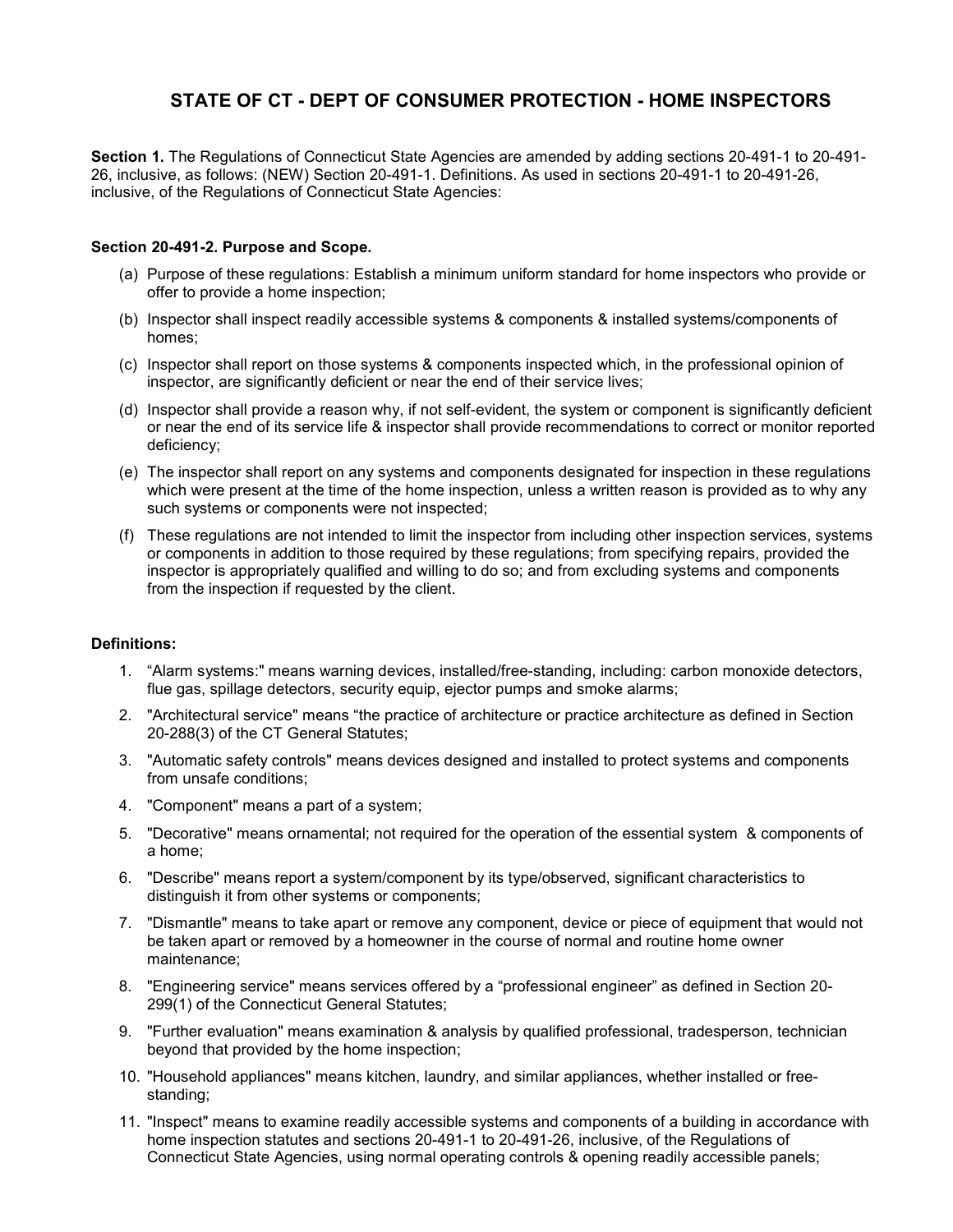# **STATE OF CT - DEPT OF CONSUMER PROTECTION - HOME INSPECTORS**

**Section 1.** The Regulations of Connecticut State Agencies are amended by adding sections 20-491-1 to 20-491- 26, inclusive, as follows: (NEW) Section 20-491-1. Definitions. As used in sections 20-491-1 to 20-491-26, inclusive, of the Regulations of Connecticut State Agencies:

### **Section 20-491-2. Purpose and Scope.**

- (a) Purpose of these regulations: Establish a minimum uniform standard for home inspectors who provide or offer to provide a home inspection;
- (b) Inspector shall inspect readily accessible systems & components & installed systems/components of homes;
- (c) Inspector shall report on those systems & components inspected which, in the professional opinion of inspector, are significantly deficient or near the end of their service lives;
- (d) Inspector shall provide a reason why, if not self-evident, the system or component is significantly deficient or near the end of its service life & inspector shall provide recommendations to correct or monitor reported deficiency;
- (e) The inspector shall report on any systems and components designated for inspection in these regulations which were present at the time of the home inspection, unless a written reason is provided as to why any such systems or components were not inspected;
- (f) These regulations are not intended to limit the inspector from including other inspection services, systems or components in addition to those required by these regulations; from specifying repairs, provided the inspector is appropriately qualified and willing to do so; and from excluding systems and components from the inspection if requested by the client.

#### **Definitions:**

- 1. "Alarm systems:" means warning devices, installed/free-standing, including: carbon monoxide detectors, flue gas, spillage detectors, security equip, ejector pumps and smoke alarms;
- 2. "Architectural service" means "the practice of architecture or practice architecture as defined in Section 20-288(3) of the CT General Statutes;
- 3. "Automatic safety controls" means devices designed and installed to protect systems and components from unsafe conditions;
- 4. "Component" means a part of a system;
- 5. "Decorative" means ornamental; not required for the operation of the essential system & components of a home;
- 6. "Describe" means report a system/component by its type/observed, significant characteristics to distinguish it from other systems or components;
- 7. "Dismantle" means to take apart or remove any component, device or piece of equipment that would not be taken apart or removed by a homeowner in the course of normal and routine home owner maintenance;
- 8. "Engineering service" means services offered by a "professional engineer" as defined in Section 20- 299(1) of the Connecticut General Statutes;
- 9. "Further evaluation" means examination & analysis by qualified professional, tradesperson, technician beyond that provided by the home inspection;
- 10. "Household appliances" means kitchen, laundry, and similar appliances, whether installed or freestanding;
- 11. "Inspect" means to examine readily accessible systems and components of a building in accordance with home inspection statutes and sections 20-491-1 to 20-491-26, inclusive, of the Regulations of Connecticut State Agencies, using normal operating controls & opening readily accessible panels;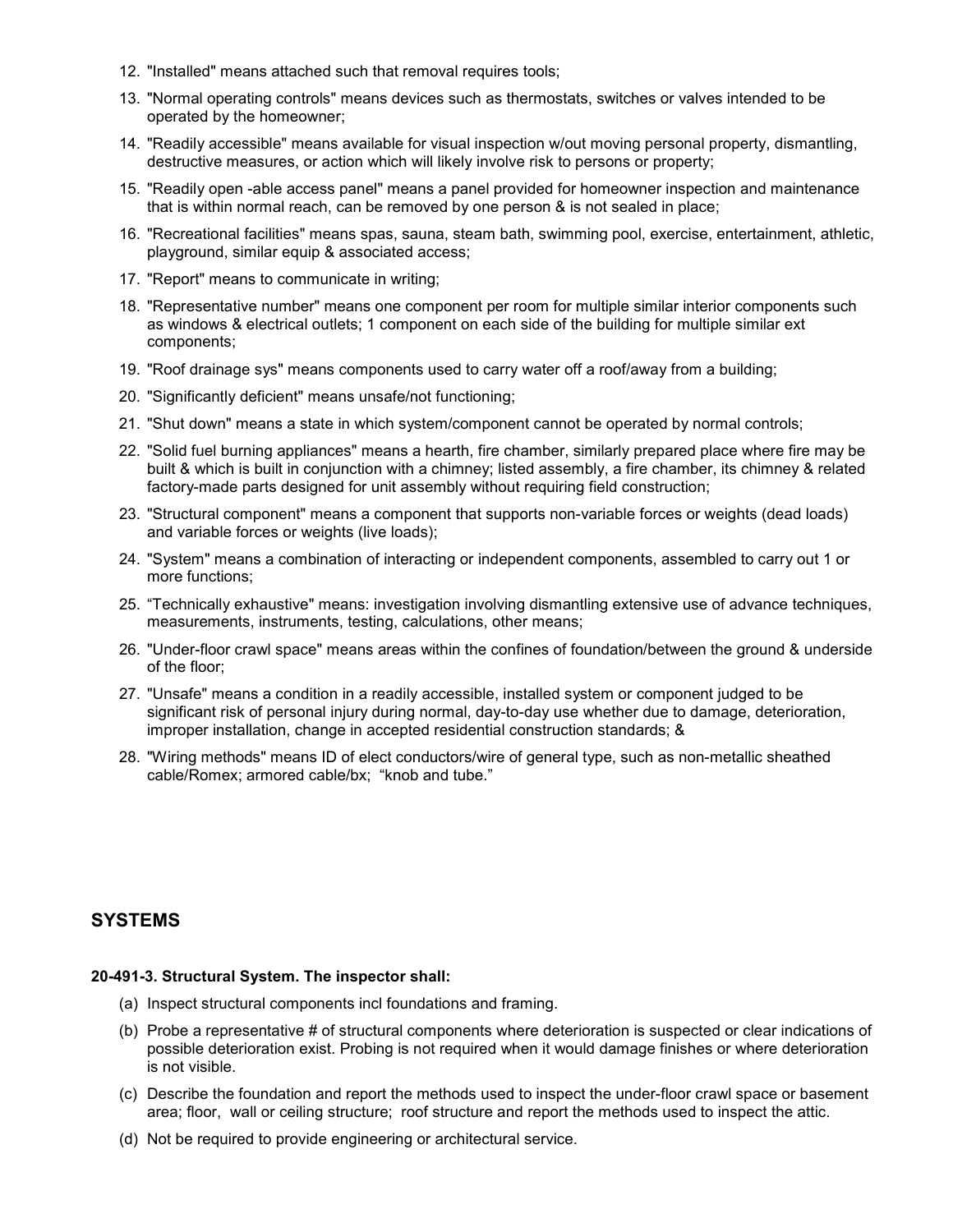- 12. "Installed" means attached such that removal requires tools;
- 13. "Normal operating controls" means devices such as thermostats, switches or valves intended to be operated by the homeowner;
- 14. "Readily accessible" means available for visual inspection w/out moving personal property, dismantling, destructive measures, or action which will likely involve risk to persons or property;
- 15. "Readily open -able access panel" means a panel provided for homeowner inspection and maintenance that is within normal reach, can be removed by one person & is not sealed in place;
- 16. "Recreational facilities" means spas, sauna, steam bath, swimming pool, exercise, entertainment, athletic, playground, similar equip & associated access;
- 17. "Report" means to communicate in writing;
- 18. "Representative number" means one component per room for multiple similar interior components such as windows & electrical outlets; 1 component on each side of the building for multiple similar ext components;
- 19. "Roof drainage sys" means components used to carry water off a roof/away from a building;
- 20. "Significantly deficient" means unsafe/not functioning;
- 21. "Shut down" means a state in which system/component cannot be operated by normal controls;
- 22. "Solid fuel burning appliances" means a hearth, fire chamber, similarly prepared place where fire may be built & which is built in conjunction with a chimney; listed assembly, a fire chamber, its chimney & related factory-made parts designed for unit assembly without requiring field construction;
- 23. "Structural component" means a component that supports non-variable forces or weights (dead loads) and variable forces or weights (live loads);
- 24. "System" means a combination of interacting or independent components, assembled to carry out 1 or more functions;
- 25. "Technically exhaustive" means: investigation involving dismantling extensive use of advance techniques, measurements, instruments, testing, calculations, other means;
- 26. "Under-floor crawl space" means areas within the confines of foundation/between the ground & underside of the floor;
- 27. "Unsafe" means a condition in a readily accessible, installed system or component judged to be significant risk of personal injury during normal, day-to-day use whether due to damage, deterioration, improper installation, change in accepted residential construction standards; &
- 28. "Wiring methods" means ID of elect conductors/wire of general type, such as non-metallic sheathed cable/Romex; armored cable/bx; "knob and tube."

# **SYSTEMS**

#### **20-491-3. Structural System. The inspector shall:**

- (a) Inspect structural components incl foundations and framing.
- (b) Probe a representative # of structural components where deterioration is suspected or clear indications of possible deterioration exist. Probing is not required when it would damage finishes or where deterioration is not visible.
- (c) Describe the foundation and report the methods used to inspect the under-floor crawl space or basement area; floor, wall or ceiling structure; roof structure and report the methods used to inspect the attic.
- (d) Not be required to provide engineering or architectural service.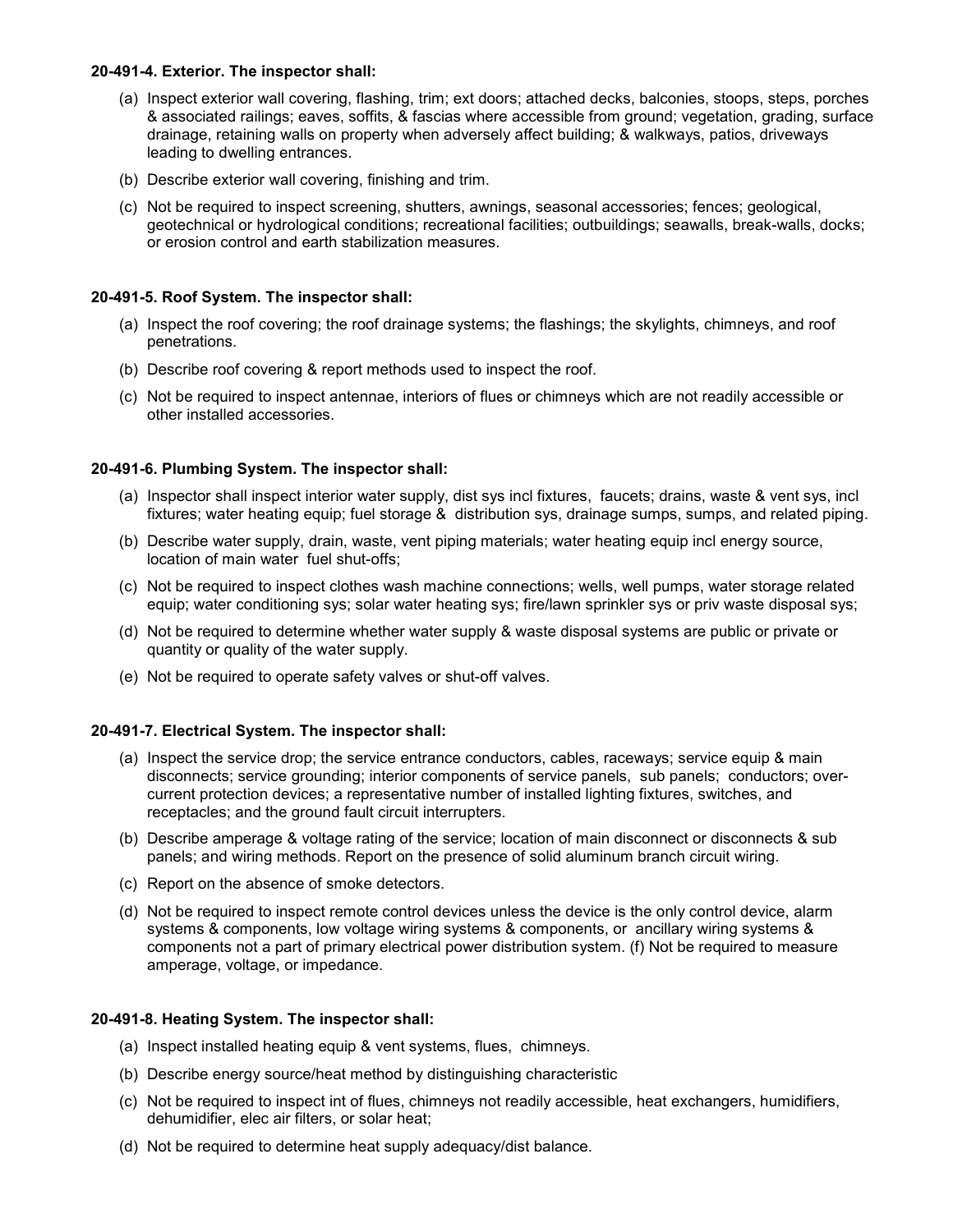#### **20-491-4. Exterior. The inspector shall:**

- (a) Inspect exterior wall covering, flashing, trim; ext doors; attached decks, balconies, stoops, steps, porches & associated railings; eaves, soffits, & fascias where accessible from ground; vegetation, grading, surface drainage, retaining walls on property when adversely affect building; & walkways, patios, driveways leading to dwelling entrances.
- (b) Describe exterior wall covering, finishing and trim.
- (c) Not be required to inspect screening, shutters, awnings, seasonal accessories; fences; geological, geotechnical or hydrological conditions; recreational facilities; outbuildings; seawalls, break-walls, docks; or erosion control and earth stabilization measures.

#### **20-491-5. Roof System. The inspector shall:**

- (a) Inspect the roof covering; the roof drainage systems; the flashings; the skylights, chimneys, and roof penetrations.
- (b) Describe roof covering & report methods used to inspect the roof.
- (c) Not be required to inspect antennae, interiors of flues or chimneys which are not readily accessible or other installed accessories.

#### **20-491-6. Plumbing System. The inspector shall:**

- (a) Inspector shall inspect interior water supply, dist sys incl fixtures, faucets; drains, waste & vent sys, incl fixtures; water heating equip; fuel storage & distribution sys, drainage sumps, sumps, and related piping.
- (b) Describe water supply, drain, waste, vent piping materials; water heating equip incl energy source, location of main water fuel shut-offs;
- (c) Not be required to inspect clothes wash machine connections; wells, well pumps, water storage related equip; water conditioning sys; solar water heating sys; fire/lawn sprinkler sys or priv waste disposal sys;
- (d) Not be required to determine whether water supply & waste disposal systems are public or private or quantity or quality of the water supply.
- (e) Not be required to operate safety valves or shut-off valves.

#### **20-491-7. Electrical System. The inspector shall:**

- (a) Inspect the service drop; the service entrance conductors, cables, raceways; service equip & main disconnects; service grounding; interior components of service panels, sub panels; conductors; overcurrent protection devices; a representative number of installed lighting fixtures, switches, and receptacles; and the ground fault circuit interrupters.
- (b) Describe amperage & voltage rating of the service; location of main disconnect or disconnects & sub panels; and wiring methods. Report on the presence of solid aluminum branch circuit wiring.
- (c) Report on the absence of smoke detectors.
- (d) Not be required to inspect remote control devices unless the device is the only control device, alarm systems & components, low voltage wiring systems & components, or ancillary wiring systems & components not a part of primary electrical power distribution system. (f) Not be required to measure amperage, voltage, or impedance.

#### **20-491-8. Heating System. The inspector shall:**

- (a) Inspect installed heating equip & vent systems, flues, chimneys.
- (b) Describe energy source/heat method by distinguishing characteristic
- (c) Not be required to inspect int of flues, chimneys not readily accessible, heat exchangers, humidifiers, dehumidifier, elec air filters, or solar heat;
- (d) Not be required to determine heat supply adequacy/dist balance.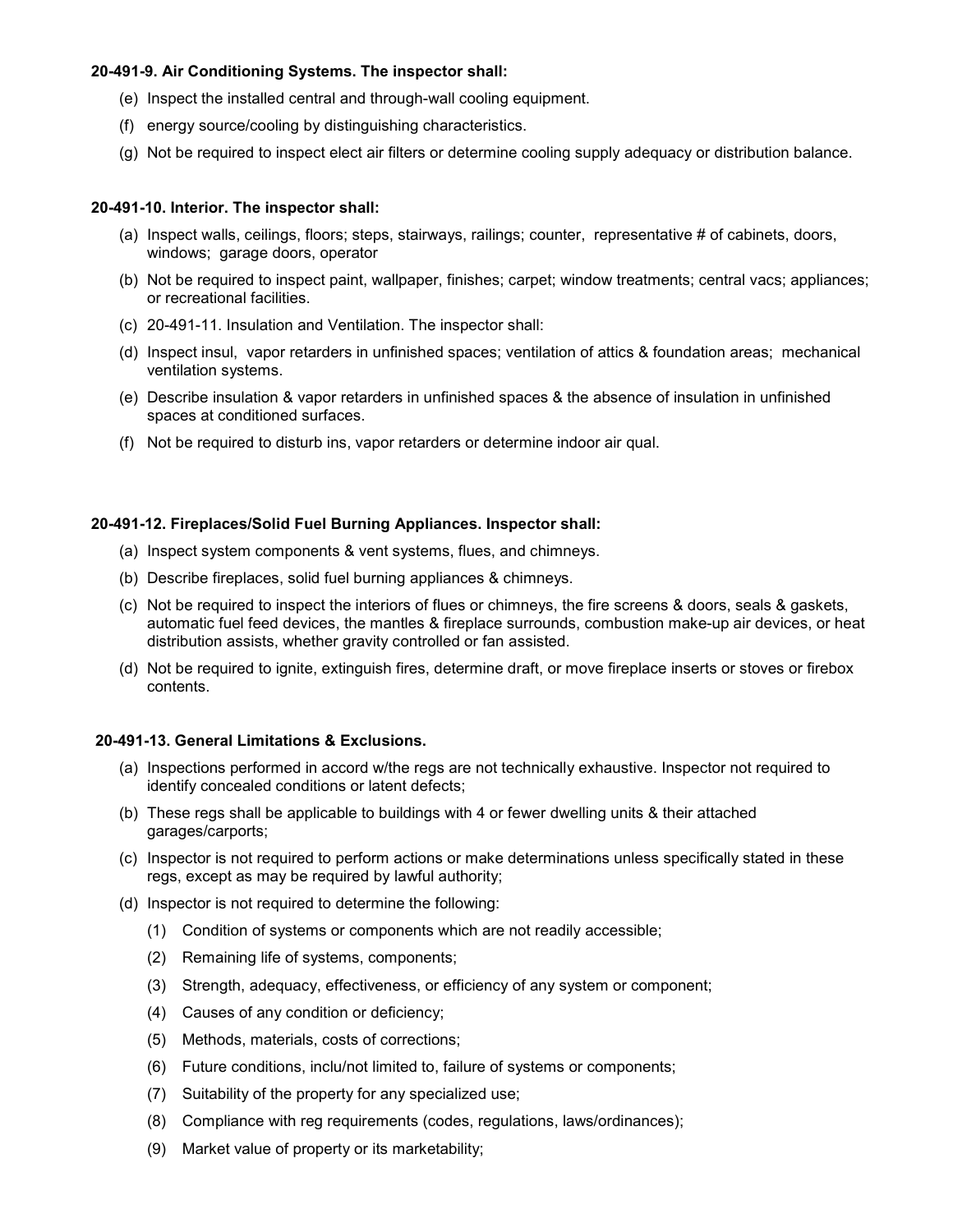### **20-491-9. Air Conditioning Systems. The inspector shall:**

- (e) Inspect the installed central and through-wall cooling equipment.
- (f) energy source/cooling by distinguishing characteristics.
- (g) Not be required to inspect elect air filters or determine cooling supply adequacy or distribution balance.

#### **20-491-10. Interior. The inspector shall:**

- (a) Inspect walls, ceilings, floors; steps, stairways, railings; counter, representative # of cabinets, doors, windows; garage doors, operator
- (b) Not be required to inspect paint, wallpaper, finishes; carpet; window treatments; central vacs; appliances; or recreational facilities.
- (c) 20-491-11. Insulation and Ventilation. The inspector shall:
- (d) Inspect insul, vapor retarders in unfinished spaces; ventilation of attics & foundation areas; mechanical ventilation systems.
- (e) Describe insulation & vapor retarders in unfinished spaces & the absence of insulation in unfinished spaces at conditioned surfaces.
- (f) Not be required to disturb ins, vapor retarders or determine indoor air qual.

## **20-491-12. Fireplaces/Solid Fuel Burning Appliances. Inspector shall:**

- (a) Inspect system components & vent systems, flues, and chimneys.
- (b) Describe fireplaces, solid fuel burning appliances & chimneys.
- (c) Not be required to inspect the interiors of flues or chimneys, the fire screens & doors, seals & gaskets, automatic fuel feed devices, the mantles & fireplace surrounds, combustion make-up air devices, or heat distribution assists, whether gravity controlled or fan assisted.
- (d) Not be required to ignite, extinguish fires, determine draft, or move fireplace inserts or stoves or firebox contents.

#### **20-491-13. General Limitations & Exclusions.**

- (a) Inspections performed in accord w/the regs are not technically exhaustive. Inspector not required to identify concealed conditions or latent defects;
- (b) These regs shall be applicable to buildings with 4 or fewer dwelling units & their attached garages/carports;
- (c) Inspector is not required to perform actions or make determinations unless specifically stated in these regs, except as may be required by lawful authority;
- (d) Inspector is not required to determine the following:
	- (1) Condition of systems or components which are not readily accessible;
	- (2) Remaining life of systems, components;
	- (3) Strength, adequacy, effectiveness, or efficiency of any system or component;
	- (4) Causes of any condition or deficiency;
	- (5) Methods, materials, costs of corrections;
	- (6) Future conditions, inclu/not limited to, failure of systems or components;
	- (7) Suitability of the property for any specialized use;
	- (8) Compliance with reg requirements (codes, regulations, laws/ordinances);
	- (9) Market value of property or its marketability;